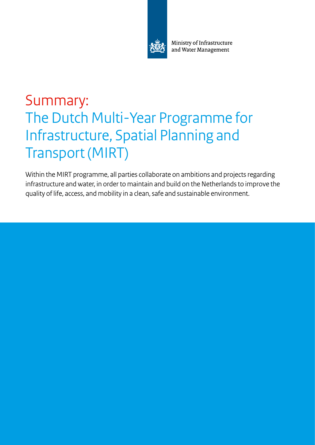

Ministry of Infrastructure and Water Management

# Summary: The Dutch Multi-Year Programme for Infrastructure, Spatial Planning and Transport (MIRT)

Within the MIRT programme, all parties collaborate on ambitions and projects regarding infrastructure and water, in order to maintain and build on the Netherlands to improve the quality of life, access, and mobility in a clean, safe and sustainable environment.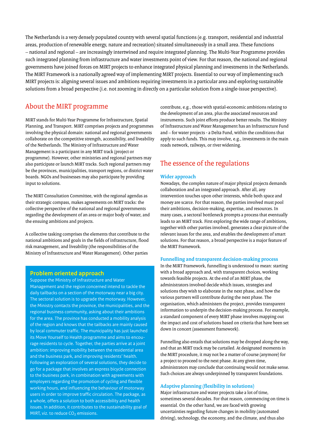The Netherlands is a very densely populated country with several spatial functions (e.g. transport, residential and industrial areas, production of renewable energy, nature and recreation) situated simultaneously in a small area. These functions – national and regional – are increasingly intertwined and require integrated planning. The Multi-Year Programme provides such integrated planning from infrastructure and water investments point of view. For that reason, the national and regional governments have joined forces on MIRT projects to enhance integrated physical planning and investments in the Netherlands. The MIRT Framework is a nationally agreed way of implementing MIRT projects. Essential to our way of implementing such MIRT projects is: aligning several issues and ambitions requiring investments in a particular area and exploring sustainable solutions from a broad perspective (i.e. not zooming in directly on a particular solution from a single-issue perspective).

### About the MIRT programme

MIRT stands for Multi-Year Programme for Infrastructure, Spatial Planning, and Transport. MIRT comprises projects and programmes involving the physical domain: national and regional governments collaborate on the competitive strength, accessibility, and liveability of the Netherlands. The Ministry of Infrastructure and Water Management is a participant in any MIRT track (project or programme). However, other ministries and regional partners may also participate or launch MIRT tracks. Such regional partners may be the provinces, municipalities, transport regions, or district water boards. NGOs and businesses may also participate by providing input to solutions.

The MIRT Consultation Committee, with the regional agendas as their strategic compass, makes agreements on MIRT tracks: the collective perspective of the national and regional governments regarding the development of an area or major body of water, and the ensuing ambitions and projects.

A collective tasking comprises the elements that contribute to the national ambitions and goals in the fields of infrastructure, flood risk management, and liveability (the responsibilities of the Ministry of Infrastructure and Water Management). Other parties

#### **Problem oriented approach**

Suppose the Ministry of Infrastructure and Water Management and the region concerned intend to tackle the daily tailbacks on a section of the motorway near a big city. The sectoral solution is to upgrade the motorway. However, the Ministry contacts the province, the municipalities, and the regional business community, asking about their ambitions for the area. The province has conducted a mobility analysis of the region and knows that the tailbacks are mainly caused by local commuter traffic. The municipality has just launched its Move Yourself to Health programme and aims to encourage residents to cycle. Together, the parties arrive at a joint ambition: improving mobility between the residential area and the business park, and improving residents' health. Following an exploration of several solutions, they decide to go for a package that involves an express bicycle connection to the business park, in combination with agreements with employers regarding the promotion of cycling and flexible working hours, and influencing the behaviour of motorway users in order to improve traffic circulation. The package, as a whole, offers a solution to both accessibility and health issues. In addition, it contributes to the sustainability goal of MIRT, viz. to reduce CO<sub>2</sub> emissions.

contribute, e.g., those with spatial-economic ambitions relating to the development of an area, plus the associated resources and instruments. Such joint efforts produce better results. The Ministry of Infrastructure and Water Management has an Infrastructure Fund and – for water projects - a Delta Fund, within the conditions that apply to such funds. This may involve, e.g., investments in the main roads network, railways, or river widening.

# The essence of the regulations

#### **Wider approach**

Nowadays, the complex nature of major physical projects demands collaboration and an integrated approach. After all, any intervention touches upon other interests, while both space and money are scarce. For that reason, the parties involved must pool their ambitions, decision-making, expertise, and resources. In many cases, a sectoral bottleneck prompts a process that eventually leads to an MIRT track. First exploring the wide range of ambitions, together with other parties involved, generates a clear picture of the relevant issues for the area, and enables the development of smart solutions. For that reason, a broad perspective is a major feature of the MIRT Framework.

#### **Funnelling and transparent decision-making process**

In the MIRT Framework, funnelling is understood to mean: starting with a broad approach and, with transparent choices, working towards feasible projects. At the end of an MIRT phase, the administrators involved decide which issues, strategies and solutions they wish to elaborate in the next phase, and how the various partners will contribute during the next phase. The organisation, which administers the project, provides transparent information to underpin the decision-making process. For example, a standard component of every MIRT phase involves mapping out the impact and cost of solutions based on criteria that have been set down in concert (assessment framework).

Funnelling also entails that solutions may be dropped along the way, and that an MIRT track may be curtailed. At designated moments in the MIRT procedure, it may not be a matter of course (anymore) for a project to proceed to the next phase. At any given time, administrators may conclude that continuing would not make sense. Such choices are always underpinned by transparent foundations.

#### **Adaptive planning (flexibility in solutions)**

Major infrastructure and water projects take a lot of time, sometimes several decades. For that reason, commencing on time is essential. On the other hand, we are faced with growing uncertainties regarding future changes in mobility (automated driving), technology, the economy, and the climate, and thus also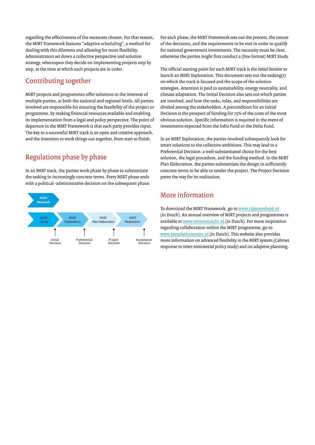regarding the effectiveness of the measures chosen. For that reason, the MIRT Framework features "adaptive scheduling", a method for dealing with this dilemma and allowing for more flexibility. Administrators set down a collective perspective and solution strategy, whereupon they decide on implementing projects step by step, at the time at which such projects are in order.

## Contributing together

MIRT projects and programmes offer solutions to the interests of multiple parties, at both the national and regional levels. All parties involved are responsible for ensuring the feasibility of the project or programme, by making financial resources available and enabling its implementation from a legal and policy perspective. The point of departure in the MIRT Framework is that each party provides input. The key to a successful MIRT track is an open and creative approach, and the intention to work things out together, from start to finish.

# Regulations phase by phase

In an MIRT track, the parties work phase by phase to substantiate the tasking in increasingly concrete terms. Every MIRT phase ends with a political -administrative decision on the subsequent phase:



For each phase, the MIRT Framework sets out the process, the nature of the decisions, and the requirements to be met in order to qualify for national government investments. The necessity must be clear, otherwise the parties might first conduct a (free format) MIRT Study.

The official starting point for each MIRT track is the *Initial Decision* to launch an MIRT Exploration. This document sets out the tasking(s) on which the track is focused and the scope of the solution strategies. Attention is paid to sustainability, energy neutrality, and climate adaptation. The Initial Decision also sets out which parties are involved, and how the tasks, roles, and responsibilities are divided among the stakeholders. A precondition for an Initial Decision is the prospect of funding for 75% of the costs of the most obvious solution. Specific information is required in the event of investments expected from the Infra Fund or the Delta Fund.

In an MIRT Exploration, the parties involved subsequently look for smart solutions to the collective ambitions. This may lead to a Preferential Decision: a well-substantiated choice for the best solution, the legal procedure, and the funding method. In the MIRT Plan Elaboration, the parties substantiate the design in sufficiently concrete terms to be able to tender the project. The Project Decision paves the way for its realisation.

# More information

To download the MIRT Framework, go to [www.rijksoverheid.nl](http://www.rijksoverheid.nl) (in Dutch). An annual overview of MIRT projects and programmes is available at [www.mirtoverzicht.nl](http://www.mirtoverzicht.nl) (in Dutch). For more inspiration regarding collaboration within the MIRT programme, go to [www.leerplatformmirt.nl](http://www.leerplatformmirt.nl) (in Dutch). This website also provides more information on advanced flexibility in the MIRT system (Cabinet response to inter-ministerial policy study) and on adaptive planning.